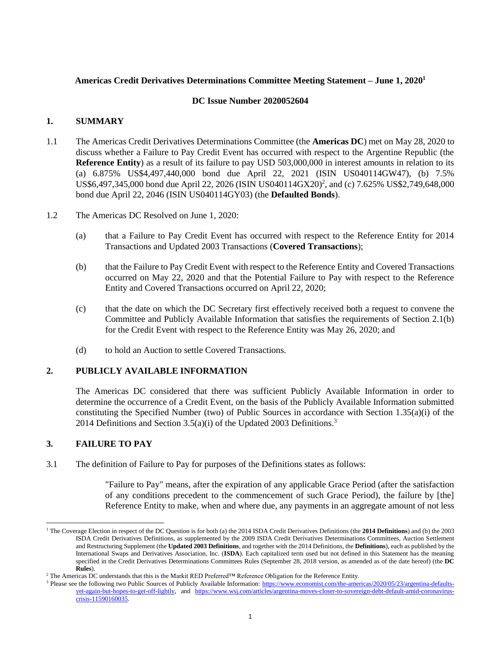# **Americas Credit Derivatives Determinations Committee Meeting Statement – June 1, 2020<sup>1</sup>**

#### **DC Issue Number 2020052604**

## **1. SUMMARY**

- 1.1 The Americas Credit Derivatives Determinations Committee (the **Americas DC**) met on May 28, 2020 to discuss whether a Failure to Pay Credit Event has occurred with respect to the Argentine Republic (the **Reference Entity**) as a result of its failure to pay USD 503,000,000 in interest amounts in relation to its (a) 6.875% US\$4,497,440,000 bond due April 22, 2021 (ISIN US040114GW47), (b) 7.5% US\$6,497,345,000 bond due April 22, 2026 (ISIN US040114GX20)<sup>2</sup>, and (c) 7.625% US\$2,749,648,000 bond due April 22, 2046 (ISIN US040114GY03) (the **Defaulted Bonds**).
- 1.2 The Americas DC Resolved on June 1, 2020:
	- (a) that a Failure to Pay Credit Event has occurred with respect to the Reference Entity for 2014 Transactions and Updated 2003 Transactions (**Covered Transactions**);
	- (b) that the Failure to Pay Credit Event with respect to the Reference Entity and Covered Transactions occurred on May 22, 2020 and that the Potential Failure to Pay with respect to the Reference Entity and Covered Transactions occurred on April 22, 2020;
	- (c) that the date on which the DC Secretary first effectively received both a request to convene the Committee and Publicly Available Information that satisfies the requirements of Section 2.1(b) for the Credit Event with respect to the Reference Entity was May 26, 2020; and
	- (d) to hold an Auction to settle Covered Transactions.

# **2. PUBLICLY AVAILABLE INFORMATION**

The Americas DC considered that there was sufficient Publicly Available Information in order to determine the occurrence of a Credit Event, on the basis of the Publicly Available Information submitted constituting the Specified Number (two) of Public Sources in accordance with Section 1.35(a)(i) of the 2014 Definitions and Section  $3.5(a)(i)$  of the Updated 2003 Definitions.<sup>3</sup>

# **3. FAILURE TO PAY**

 $\overline{a}$ 

3.1 The definition of Failure to Pay for purposes of the Definitions states as follows:

"Failure to Pay" means, after the expiration of any applicable Grace Period (after the satisfaction of any conditions precedent to the commencement of such Grace Period), the failure by [the] Reference Entity to make, when and where due, any payments in an aggregate amount of not less

<sup>1</sup> The Coverage Election in respect of the DC Question is for both (a) the 2014 ISDA Credit Derivatives Definitions (the **2014 Definitions**) and (b) the 2003 ISDA Credit Derivatives Definitions, as supplemented by the 2009 ISDA Credit Derivatives Determinations Committees, Auction Settlement and Restructuring Supplement (the **Updated 2003 Definitions**, and together with the 2014 Definitions, the **Definitions**), each as published by the International Swaps and Derivatives Association, Inc. (**ISDA**). Each capitalized term used but not defined in this Statement has the meaning specified in the Credit Derivatives Determinations Committees Rules (September 28, 2018 version, as amended as of the date hereof) (the **DC Rules**).

<sup>2</sup> The Americas DC understands that this is the Markit RED Preferred™ Reference Obligation for the Reference Entity.

<sup>&</sup>lt;sup>3</sup> Please see the following two Public Sources of Publicly Available Information[: https://www.economist.com/the-americas/2020/05/23/argentina-defaults](https://www.economist.com/the-americas/2020/05/23/argentina-defaults-yet-again-but-hopes-to-get-off-lightly)[yet-again-but-hopes-to-get-off-lightly,](https://www.economist.com/the-americas/2020/05/23/argentina-defaults-yet-again-but-hopes-to-get-off-lightly) and [https://www.wsj.com/articles/argentina-moves-closer-to-sovereign-debt-default-amid-coronavirus](https://www.wsj.com/articles/argentina-moves-closer-to-sovereign-debt-default-amid-coronavirus-crisis-11590160035)[crisis-11590160035.](https://www.wsj.com/articles/argentina-moves-closer-to-sovereign-debt-default-amid-coronavirus-crisis-11590160035)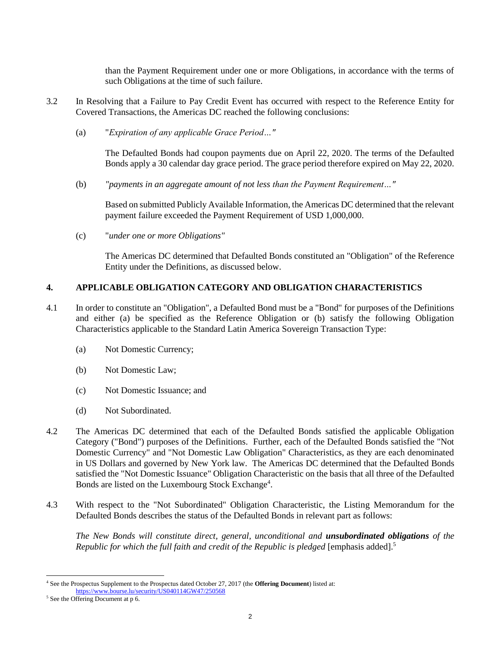than the Payment Requirement under one or more Obligations, in accordance with the terms of such Obligations at the time of such failure.

- 3.2 In Resolving that a Failure to Pay Credit Event has occurred with respect to the Reference Entity for Covered Transactions, the Americas DC reached the following conclusions:
	- (a) "*Expiration of any applicable Grace Period…"*

The Defaulted Bonds had coupon payments due on April 22, 2020. The terms of the Defaulted Bonds apply a 30 calendar day grace period. The grace period therefore expired on May 22, 2020.

(b) *"payments in an aggregate amount of not less than the Payment Requirement…"*

Based on submitted Publicly Available Information, the Americas DC determined that the relevant payment failure exceeded the Payment Requirement of USD 1,000,000.

(c) "*under one or more Obligations"*

The Americas DC determined that Defaulted Bonds constituted an "Obligation" of the Reference Entity under the Definitions, as discussed below.

# **4. APPLICABLE OBLIGATION CATEGORY AND OBLIGATION CHARACTERISTICS**

- 4.1 In order to constitute an "Obligation", a Defaulted Bond must be a "Bond" for purposes of the Definitions and either (a) be specified as the Reference Obligation or (b) satisfy the following Obligation Characteristics applicable to the Standard Latin America Sovereign Transaction Type:
	- (a) Not Domestic Currency;
	- (b) Not Domestic Law;
	- (c) Not Domestic Issuance; and
	- (d) Not Subordinated.
- 4.2 The Americas DC determined that each of the Defaulted Bonds satisfied the applicable Obligation Category ("Bond") purposes of the Definitions. Further, each of the Defaulted Bonds satisfied the "Not Domestic Currency" and "Not Domestic Law Obligation" Characteristics, as they are each denominated in US Dollars and governed by New York law. The Americas DC determined that the Defaulted Bonds satisfied the "Not Domestic Issuance" Obligation Characteristic on the basis that all three of the Defaulted Bonds are listed on the Luxembourg Stock Exchange<sup>4</sup>.
- 4.3 With respect to the "Not Subordinated" Obligation Characteristic, the Listing Memorandum for the Defaulted Bonds describes the status of the Defaulted Bonds in relevant part as follows:

*The New Bonds will constitute direct, general, unconditional and unsubordinated obligations of the Republic for which the full faith and credit of the Republic is pledged* [emphasis added].<sup>5</sup>

l

<sup>4</sup> See the Prospectus Supplement to the Prospectus dated October 27, 2017 (the **Offering Document**) listed at:

<https://www.bourse.lu/security/US040114GW47/250568>

 $5$  See the Offering Document at p 6.